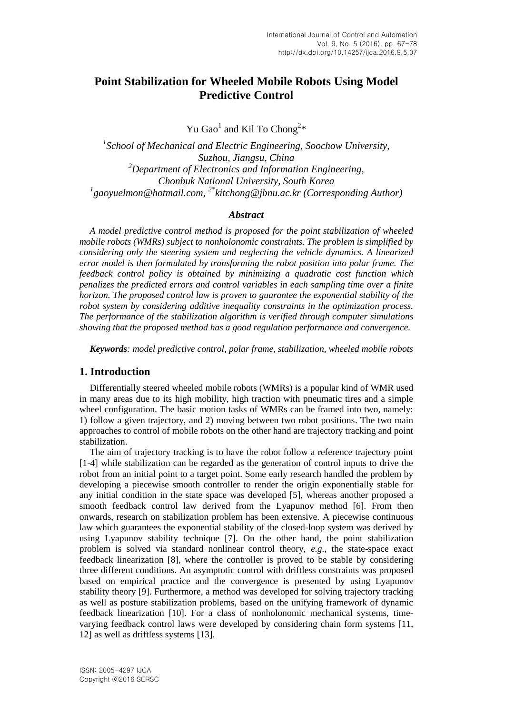# **Point Stabilization for Wheeled Mobile Robots Using Model Predictive Control**

Yu Gao<sup>1</sup> and Kil To Chong<sup>2\*</sup>

<sup>1</sup> School of Mechanical and Electric Engineering, Soochow University, *Suzhou, Jiangsu, China <sup>2</sup>Department of Electronics and Information Engineering, Chonbuk National University, South Korea 1 gaoyuelmon@hotmail.com, 2\*kitchong@jbnu.ac.kr (Corresponding Author)*

### *Abstract*

*A model predictive control method is proposed for the point stabilization of wheeled mobile robots (WMRs) subject to nonholonomic constraints. The problem is simplified by considering only the steering system and neglecting the vehicle dynamics. A linearized error model is then formulated by transforming the robot position into polar frame. The feedback control policy is obtained by minimizing a quadratic cost function which penalizes the predicted errors and control variables in each sampling time over a finite horizon. The proposed control law is proven to guarantee the exponential stability of the robot system by considering additive inequality constraints in the optimization process. The performance of the stabilization algorithm is verified through computer simulations showing that the proposed method has a good regulation performance and convergence.*

*Keywords: model predictive control, polar frame, stabilization, wheeled mobile robots*

## **1. Introduction**

Differentially steered wheeled mobile robots (WMRs) is a popular kind of WMR used in many areas due to its high mobility, high traction with pneumatic tires and a simple wheel configuration. The basic motion tasks of WMRs can be framed into two, namely: 1) follow a given trajectory, and 2) moving between two robot positions. The two main approaches to control of mobile robots on the other hand are trajectory tracking and point stabilization.

The aim of trajectory tracking is to have the robot follow a reference trajectory point [1-4] while stabilization can be regarded as the generation of control inputs to drive the robot from an initial point to a target point. Some early research handled the problem by developing a piecewise smooth controller to render the origin exponentially stable for any initial condition in the state space was developed [5], whereas another proposed a smooth feedback control law derived from the Lyapunov method [6]. From then onwards, research on stabilization problem has been extensive. A piecewise continuous law which guarantees the exponential stability of the closed-loop system was derived by using Lyapunov stability technique [7]. On the other hand, the point stabilization problem is solved via standard nonlinear control theory, *e.g.*, the state-space exact feedback linearization [8], where the controller is proved to be stable by considering three different conditions. An asymptotic control with driftless constraints was proposed based on empirical practice and the convergence is presented by using Lyapunov stability theory [9]. Furthermore, a method was developed for solving trajectory tracking as well as posture stabilization problems, based on the unifying framework of dynamic feedback linearization [10]. For a class of nonholonomic mechanical systems, timevarying feedback control laws were developed by considering chain form systems [11, 12] as well as driftless systems [13].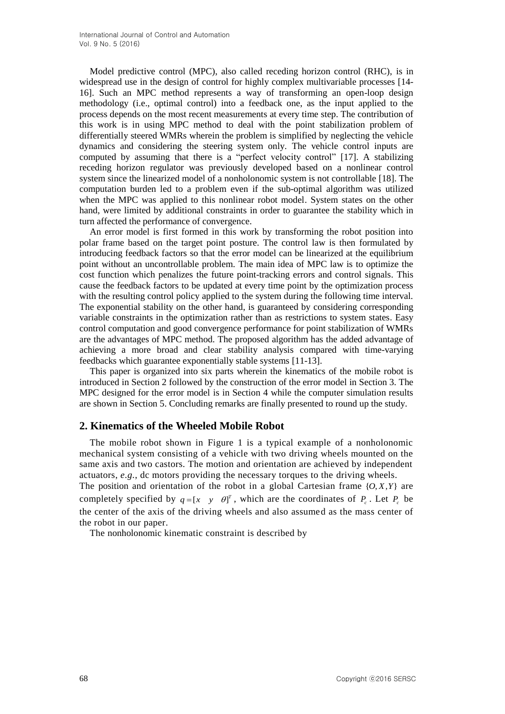Model predictive control (MPC), also called receding horizon control (RHC), is in widespread use in the design of control for highly complex multivariable processes [14- 16]. Such an MPC method represents a way of transforming an open-loop design methodology (i.e., optimal control) into a feedback one, as the input applied to the process depends on the most recent measurements at every time step. The contribution of this work is in using MPC method to deal with the point stabilization problem of differentially steered WMRs wherein the problem is simplified by neglecting the vehicle dynamics and considering the steering system only. The vehicle control inputs are computed by assuming that there is a "perfect velocity control" [17]. A stabilizing receding horizon regulator was previously developed based on a nonlinear control system since the linearized model of a nonholonomic system is not controllable [18]. The computation burden led to a problem even if the sub-optimal algorithm was utilized when the MPC was applied to this nonlinear robot model. System states on the other hand, were limited by additional constraints in order to guarantee the stability which in turn affected the performance of convergence.

An error model is first formed in this work by transforming the robot position into polar frame based on the target point posture. The control law is then formulated by introducing feedback factors so that the error model can be linearized at the equilibrium point without an uncontrollable problem. The main idea of MPC law is to optimize the cost function which penalizes the future point-tracking errors and control signals. This cause the feedback factors to be updated at every time point by the optimization process with the resulting control policy applied to the system during the following time interval. The exponential stability on the other hand, is guaranteed by considering corresponding variable constraints in the optimization rather than as restrictions to system states. Easy control computation and good convergence performance for point stabilization of WMRs are the advantages of MPC method. The proposed algorithm has the added advantage of achieving a more broad and clear stability analysis compared with time-varying feedbacks which guarantee exponentially stable systems [11-13].

This paper is organized into six parts wherein the kinematics of the mobile robot is introduced in Section 2 followed by the construction of the error model in Section 3. The MPC designed for the error model is in Section 4 while the computer simulation results are shown in Section 5. Concluding remarks are finally presented to round up the study.

# **2. Kinematics of the Wheeled Mobile Robot**

The mobile robot shown in Figure 1 is a typical example of a nonholonomic mechanical system consisting of a vehicle with two driving wheels mounted on the same axis and two castors. The motion and orientation are achieved by independent actuators, *e.g.*, dc motors providing the necessary torques to the driving wheels.

The position and orientation of the robot in a global Cartesian frame  $\{O, X, Y\}$  are completely specified by  $q = [x \ y \ \theta]^T$ , which are the coordinates of  $P_c$ . Let  $P_c$  be the center of the axis of the driving wheels and also assumed as the mass center of the robot in our paper.

The nonholonomic kinematic constraint is described by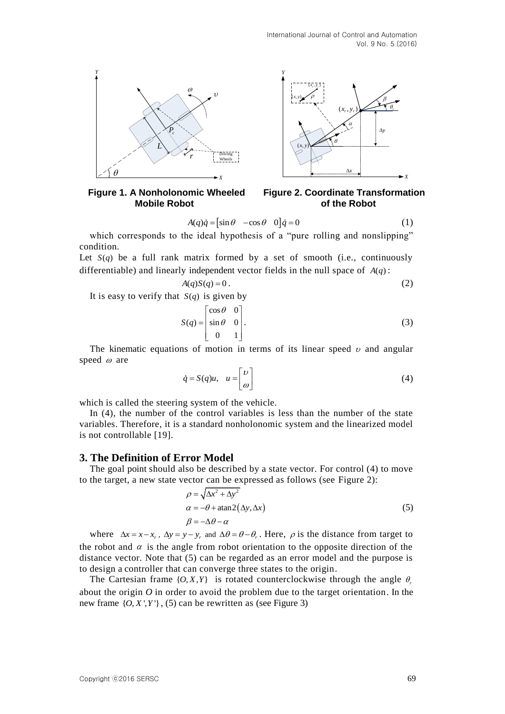

**Mobile Robot of the Robot** 



$$
A(q)\dot{q} = \begin{bmatrix} \sin \theta & -\cos \theta & 0 \end{bmatrix} \dot{q} = 0 \tag{1}
$$

which corresponds to the ideal hypothesis of a "pure rolling and nonslipping" condition.

Let  $S(q)$  be a full rank matrix formed by a set of smooth (i.e., continuously differentiable) and linearly independent vector fields in the null space of  $A(q)$ :

$$
A(q)S(q) = 0.
$$
 (2)

It is easy to verify that  $S(q)$  is given by

$$
S(q) = \begin{bmatrix} \cos \theta & 0 \\ \sin \theta & 0 \\ 0 & 1 \end{bmatrix} .
$$
 (3)

The kinematic equations of motion in terms of its linear speed  $\nu$  and angular speed  $\omega$  are

$$
\dot{q} = S(q)u, \quad u = \begin{bmatrix} v \\ \omega \end{bmatrix} \tag{4}
$$

which is called the steering system of the vehicle.

In (4), the number of the control variables is less than the number of the state variables. Therefore, it is a standard nonholonomic system and the linearized model is not controllable [19].

#### **3. The Definition of Error Model**

The goal point should also be described by a state vector. For control (4) to move to the target, a new state vector can be expressed as follows (see Figure 2):

$$
\rho = \sqrt{\Delta x^2 + \Delta y^2}
$$
  
\n
$$
\alpha = -\theta + \text{atan2}(\Delta y, \Delta x)
$$
  
\n
$$
\beta = -\Delta \theta - \alpha
$$
\n(5)

A(p) $\hat{a} = |\sin \theta - \cos \theta| \, \hat{q} = 0$  (1)<br>condition.<br>Condition the ideal hypothesis of a "pure rolling and nonslipping"<br>condition.<br>Let  $S(q)$  be a full rank matrix formed by a set of smooth (i.e., continuously<br>differentiable) a where  $\Delta x = x - x_r$ ,  $\Delta y = y - y_r$  and  $\Delta \theta = \theta - \theta_r$ . Here,  $\rho$  is the distance from target to the robot and  $\alpha$  is the angle from robot orientation to the opposite direction of the distance vector. Note that (5) can be regarded as an error model and the purpose is to design a controller that can converge three states to the origin.

The Cartesian frame  $\{O, X, Y\}$  is rotated counterclockwise through the angle  $\theta$ , about the origin *O* in order to avoid the problem due to the target orientation. In the new frame  $\{O, X', Y'\}$ , (5) can be rewritten as (see Figure 3)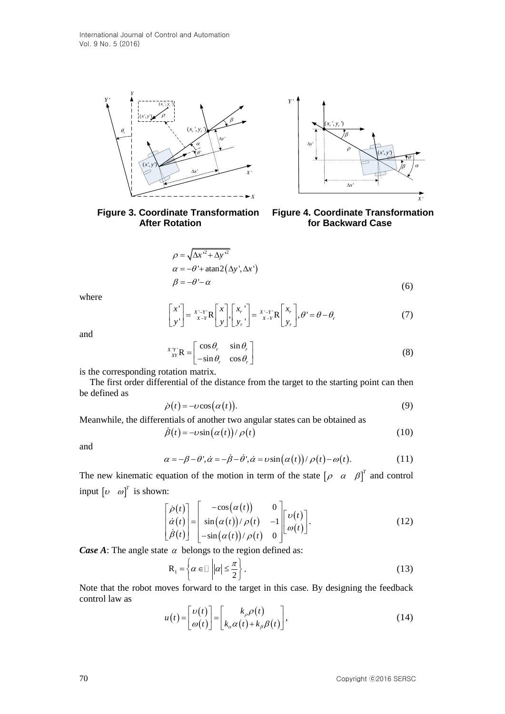



**Figure 3. Coordinate Transformation Figure 4. Coordinate Transformation After Rotation delays and Structure Case of Backward Case** 

$$
\rho = \sqrt{\Delta x'^2 + \Delta y'^2}
$$
  
\n
$$
\alpha = -\theta' + \text{atan2}(\Delta y', \Delta x')
$$
  
\n
$$
\beta = -\theta' - \alpha
$$
\n(6)

where

$$
\begin{bmatrix} x' \\ y' \end{bmatrix} = \begin{bmatrix} x - y \\ x - Y \end{bmatrix} \mathbf{R} \begin{bmatrix} x \\ y \end{bmatrix}, \begin{bmatrix} x_r \\ y_r \end{bmatrix} = \begin{bmatrix} x - y \\ x - Y \end{bmatrix} \mathbf{R} \begin{bmatrix} x_r \\ y_r \end{bmatrix}, \theta' = \theta - \theta_r
$$
 (7)

and

$$
\lim_{\substack{XY\\XY}} R = \begin{bmatrix} \cos \theta_r & \sin \theta_r \\ -\sin \theta_r & \cos \theta_r \end{bmatrix}
$$
 (8)

is the corresponding rotation matrix.

The first order differential of the distance from the target to the starting point can then be defined as

$$
\dot{\rho}(t) = -\nu \cos(\alpha(t)).\tag{9}
$$

Meanwhile, the differentials of another two angular states can be obtained as

$$
\dot{\beta}(t) = -\nu \sin(\alpha(t))/\rho(t) \tag{10}
$$

and

$$
\alpha = -\beta - \theta', \dot{\alpha} = -\dot{\beta} - \dot{\theta}', \dot{\alpha} = v \sin(\alpha(t))/\rho(t) - \omega(t).
$$
 (11)

The new kinematic equation of the motion in term of the state  $\begin{bmatrix} \rho & \alpha & \beta \end{bmatrix}^T$  and control input  $\begin{bmatrix} v & \omega \end{bmatrix}^T$  is shown:

$$
\alpha = -\theta + \arctan 2(\Delta y', \Delta x')
$$
\n
$$
\beta = -\theta - \alpha
$$
\n(6)  
\nwhere  
\n
$$
\begin{bmatrix}\nx' \\
y'\n\end{bmatrix} = \frac{x - y}{x - y} R \begin{bmatrix} x \\
y \end{bmatrix} \begin{bmatrix} x \\ y \end{bmatrix} = \frac{y - y}{x - y} R \begin{bmatrix} x \\ y \end{bmatrix}, \theta' = \theta - \theta,
$$
\n(7)  
\nand  
\n
$$
\begin{aligned}\nx''_{x'} R &= \begin{bmatrix} \cos \theta, & \sin \theta \\ -\sin \theta, & \cos \theta \end{bmatrix}
$$
\n(8)  
\nis the corresponding rotation matrix.  
\nThe first order differential of the distance from the target to the starting point can then  
\nbe defined as  
\n
$$
\dot{\rho}(t) = -v \cos(\alpha(t)).
$$
\n(9)  
\nMeanwhile, the differentials of another two angular states can be obtained as  
\n
$$
\dot{\beta}(t) = -v \sin(\alpha(t))/\rho(t)
$$
\n(10)  
\nand  
\n
$$
\alpha = -\beta - \theta', \dot{\alpha} = -\dot{\beta} - \dot{\theta}', \dot{\alpha} = v \sin(\alpha(t))/\rho(t) - \omega(t).
$$
\n(11)  
\nThe new kinematic equation of the motion in term of the state  $[\rho \alpha \beta]^T$  and control  
\ninput  $[\nu \omega]^T$  is shown:  
\n
$$
\begin{bmatrix} \dot{\rho}(t) \\ \dot{\alpha}(t) \\ \dot{\beta}(t) \end{bmatrix} = \begin{bmatrix} -\cos(\alpha(t)) & 0 \\ \sin(\alpha(t))/\rho(t) & 0 \end{bmatrix} \begin{bmatrix} \nu(t) \\ \omega(t) \end{bmatrix}.
$$
\n(12)  
\nCase A: The angle state  $\alpha$  belongs to the region defined as:  
\n
$$
R_1 = \begin{cases} \alpha \in \mathbb{I} \ |\alpha| \leq \frac{\pi}{2} \end{cases}.
$$
\n(13)  
\nNote that the robot moves forward to the target in this case. By designing the feedback  
\ncontrol law as  
\n
$$
u(t) = \begin{bmatrix} \nu(t) \\ \omega(t) \end{bmatrix} = \begin{bmatrix} k_{\rho}\rho(t) \\ k_{\alpha}\alpha(t) + k_{\beta}\beta(t) \end{bmatrix},
$$
\n(14)

*Case A*: The angle state  $\alpha$  belongs to the region defined as:

$$
\mathbf{R}_1 = \left\{ \alpha \in \mathbb{I} \, \left| \, |\alpha| \le \frac{\pi}{2} \right. \right\} . \tag{13}
$$

Note that the robot moves forward to the target in this case. By designing the feedback control law as

$$
u(t) = \begin{bmatrix} v(t) \\ \omega(t) \end{bmatrix} = \begin{bmatrix} k_{\rho} \rho(t) \\ k_{\alpha} \alpha(t) + k_{\beta} \beta(t) \end{bmatrix},
$$
\n(14)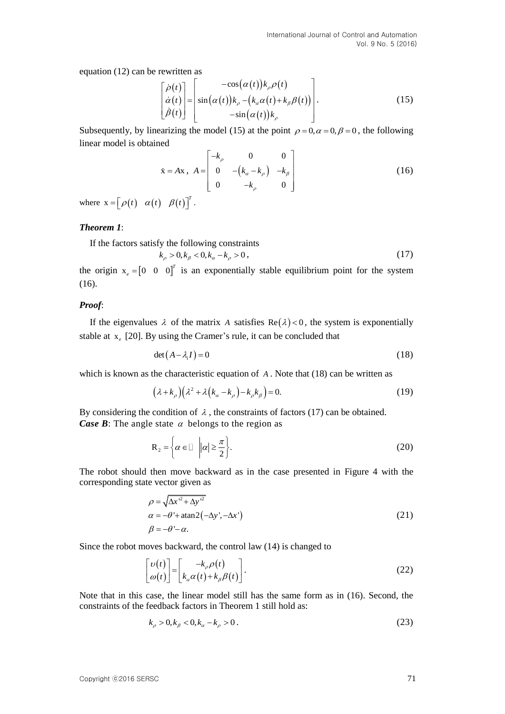equation (12) can be rewritten as

rewritten as  
\n
$$
\begin{bmatrix}\n\dot{\rho}(t) \\
\dot{\alpha}(t) \\
\dot{\beta}(t)\n\end{bmatrix} = \begin{bmatrix}\n-\cos(\alpha(t))k_{\rho}\rho(t) \\
\sin(\alpha(t))k_{\rho} - (k_{\alpha}\alpha(t) + k_{\beta}\beta(t)) \\
-\sin(\alpha(t))k_{\rho}\n\end{bmatrix}.
$$
\n(15)

Subsequently, by linearizing the model (15) at the point  $\rho = 0, \alpha = 0, \beta = 0$ , the following linear model is obtained

$$
\dot{\mathbf{x}} = A\mathbf{x}, \ A = \begin{bmatrix} -k_{\rho} & 0 & 0 \\ 0 & -(k_{\alpha} - k_{\rho}) & -k_{\beta} \\ 0 & -k_{\rho} & 0 \end{bmatrix}
$$
(16)

where  $\mathbf{x} = \begin{bmatrix} \rho(t) & \alpha(t) & \beta(t) \end{bmatrix}^T$ .

### *Theorem 1*:

If the factors satisfy the following constraints

$$
k_{\rho} > 0, k_{\beta} < 0, k_{\alpha} - k_{\rho} > 0,
$$
\n(17)

the origin  $x_e = \begin{bmatrix} 0 & 0 & 0 \end{bmatrix}^T$  $e = \begin{bmatrix} 0 & 0 & 0 \end{bmatrix}^T$  is an exponentially stable equilibrium point for the system (16).

### *Proof*:

If the eigenvalues  $\lambda$  of the matrix A satisfies  $\text{Re}(\lambda) < 0$ , the system is exponentially stable at  $x_e$  [20]. By using the Cramer's rule, it can be concluded that

$$
\det(A - \lambda_i I) = 0 \tag{18}
$$

which is known as the [characteristic equation](http://mathworld.wolfram.com/CharacteristicEquation.html) of A. Note that (18) can be written as

$$
(\lambda + k_{\rho})(\lambda^2 + \lambda (k_{\alpha} - k_{\rho}) - k_{\rho}k_{\beta}) = 0.
$$
 (19)

By considering the condition of  $\lambda$ , the constraints of factors (17) can be obtained. *Case B*: The angle state  $\alpha$  belongs to the region as

$$
\mathbf{R}_2 = \left\{ \alpha \in \mathbb{I} \middle| |\alpha| \ge \frac{\pi}{2} \right\}.
$$
 (20)

The robot should then move backward as in the case presented in Figure 4 with the corresponding state vector given as

$$
\rho = \sqrt{\Delta x'^2 + \Delta y'^2}
$$
  
\n
$$
\alpha = -\theta' + \text{atan2}\left(-\Delta y', -\Delta x'\right)
$$
  
\n
$$
\beta = -\theta' - \alpha.
$$
\n(21)

Since the robot moves backward, the control law (14) is changed to

$$
\begin{bmatrix} \nu(t) \\ \omega(t) \end{bmatrix} = \begin{bmatrix} -k_{\rho} \rho(t) \\ k_{\alpha} \alpha(t) + k_{\beta} \beta(t) \end{bmatrix}.
$$
 (22)

Note that in this case, the linear model still has the same form as in (16). Second, the constraints of the feedback factors in Theorem 1 still hold as:

$$
k_{\rho} > 0, k_{\beta} < 0, k_{\alpha} - k_{\rho} > 0.
$$
\n(23)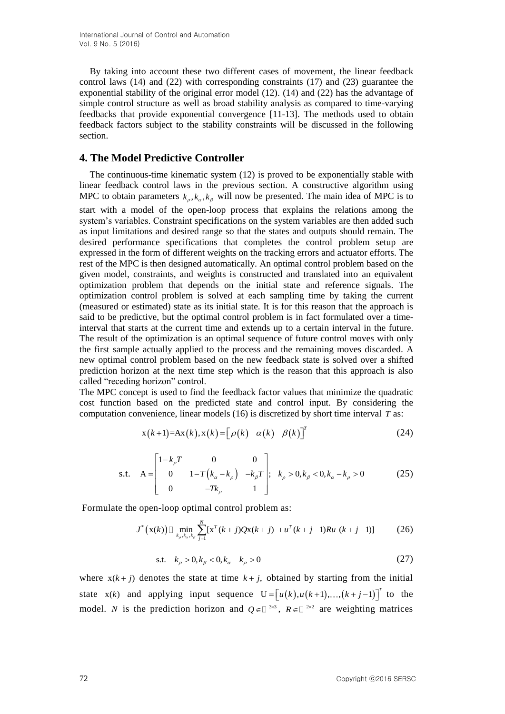By taking into account these two different cases of movement, the linear feedback control laws (14) and (22) with corresponding constraints (17) and (23) guarantee the exponential stability of the original error model (12). (14) and (22) has the advantage of simple control structure as well as broad stability analysis as compared to time-varying feedbacks that provide exponential convergence [11-13]. The methods used to obtain feedback factors subject to the stability constraints will be discussed in the following section.

# **4. The Model Predictive Controller**

The continuous-time kinematic system (12) is proved to be exponentially stable with linear feedback control laws in the previous section. A constructive algorithm using MPC to obtain parameters  $k_{\rho}, k_{\alpha}, k_{\beta}$  will now be presented. The main idea of MPC is to start with a model of the open-loop process that explains the relations among the system's variables. Constraint specifications on the system variables are then added such as input limitations and desired range so that the states and outputs should remain. The desired performance specifications that completes the control problem setup are expressed in the form of different weights on the tracking errors and actuator efforts. The rest of the MPC is then designed automatically. An optimal control problem based on the given model, constraints, and weights is constructed and translated into an equivalent optimization problem that depends on the initial state and reference signals. The optimization control problem is solved at each sampling time by taking the current (measured or estimated) state as its initial state. It is for this reason that the approach is said to be predictive, but the optimal control problem is in fact formulated over a timeinterval that starts at the current time and extends up to a certain interval in the future. The result of the optimization is an optimal sequence of future control moves with only the first sample actually applied to the process and the remaining moves discarded. A new optimal control problem based on the new feedback state is solved over a shifted prediction horizon at the next time step which is the reason that this approach is also called "receding horizon" control.

The MPC concept is used to find the feedback factor values that minimize the quadratic cost function based on the predicted state and control input. By considering the computation convenience, linear models (16) is discretized by short time interval *T* as:

$$
x(k+1)=Ax(k), x(k) = [\rho(k) \quad \alpha(k) \quad \beta(k)]^T
$$
 (24)

s.t. 
$$
A = \begin{bmatrix} 1 - k_{\rho} T & 0 & 0 \\ 0 & 1 - T(k_{\alpha} - k_{\rho}) & -k_{\beta} T \\ 0 & -Tk_{\rho} & 1 \end{bmatrix}
$$
;  $k_{\rho} > 0, k_{\beta} < 0, k_{\alpha} - k_{\rho} > 0$  (25)

Formulate the open-loop optimal control problem as:  
\n
$$
J^*(\mathbf{x}(k)) \Box \min_{k_p, k_a, k_p} \sum_{j=1}^N [\mathbf{x}^T(k+j)Q\mathbf{x}(k+j) + u^T(k+j-1)Ru(k+j-1)] \tag{26}
$$

s.t. 
$$
k_{\rho} > 0, k_{\beta} < 0, k_{\alpha} - k_{\rho} > 0
$$
 (27)

where  $x(k + j)$  denotes the state at time  $k + j$ , obtained by starting from the initial state  $x(k)$  and applying input sequence  $U = [u(k), u(k+1), ..., (k+j-1)]^T$  to the model. *N* is the prediction horizon and  $Q \in \mathbb{R}^{3 \times 3}$ ,  $R \in \mathbb{R}^{2 \times 2}$  are weighting matrices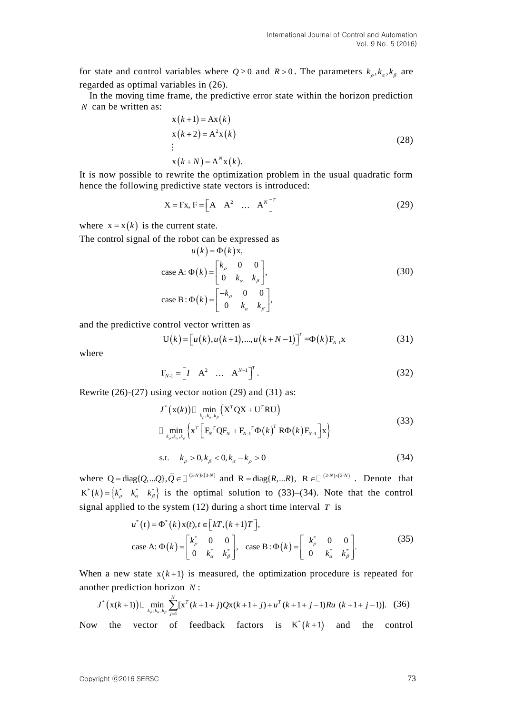for state and control variables where  $Q \ge 0$  and  $R > 0$ . The parameters  $k_{\rho}, k_{\alpha}, k_{\beta}$  are regarded as optimal variables in (26).

In the moving time frame, the predictive error state within the horizon prediction *N* can be written as:

$$
x(k+1) = Ax(k)
$$
  
\n
$$
x(k+2) = A^{2}x(k)
$$
  
\n
$$
\vdots
$$
  
\n
$$
x(k+N) = A^{N}x(k).
$$
\n(28)

It is now possible to rewrite the optimization problem in the usual quadratic form hence the following predictive state vectors is introduced:

$$
X = Fx, F = \begin{bmatrix} A & A^2 & \dots & A^N \end{bmatrix}^T
$$
 (29)

where  $x = x(k)$  is the current state.

The control signal of the robot can be expressed as  $u(k) = \Phi(k)x$ ,

$$
u(k) = \Phi(k)x,
$$
  
\ncase A:  $\Phi(k) = \begin{bmatrix} k_{\rho} & 0 & 0 \\ 0 & k_{\alpha} & k_{\beta} \end{bmatrix},$   
\ncase B:  $\Phi(k) = \begin{bmatrix} -k_{\rho} & 0 & 0 \\ 0 & k_{\alpha} & k_{\beta} \end{bmatrix},$  (30)

and the predictive control vector written as  
\n
$$
U(k) = [u(k), u(k+1), ..., u(k+N-1)]^{T} = \Phi(k)F_{N-1}x
$$
\n(31)

where

$$
F_{N-1} = \begin{bmatrix} I & A^2 & \dots & A^{N-1} \end{bmatrix}^T.
$$
 (32)

Rewrite (26)-(27) using vector notion (29) and (31) as:<br> $J^*(\mathbf{x}(k)) \square \min_{k,k,k,k} (\mathbf{X}^T \mathbf{Q} \mathbf{X} + \mathbf{U}^T \mathbf{R} \mathbf{U})$ 

$$
J^{*}(\mathbf{x}(k)) \Box \min_{k_{\rho},k_{\alpha},k_{\beta}} (\mathbf{X}^{T} \mathbf{Q} \mathbf{X} + \mathbf{U}^{T} \mathbf{R} \mathbf{U})
$$
  

$$
\Box \min_{k_{\rho},k_{\alpha},k_{\beta}} \left\{ \mathbf{x}^{T} \left[ \mathbf{F}_{N}^{T} \mathbf{Q} \mathbf{F}_{N} + \mathbf{F}_{N-1}^{T} \mathbf{\Phi}(k)^{T} \mathbf{R} \mathbf{\Phi}(k) \mathbf{F}_{N-1} \right] \mathbf{x} \right\}
$$
(33)

s.t. 
$$
k_{\rho} > 0, k_{\beta} < 0, k_{\alpha} - k_{\rho} > 0
$$
 (34)

where  $Q = diag\{Q,...Q\}, \overline{Q} \in \Box^{(3 \times N) \times (3 \times N)}$  and  $R = diag\{R,...R\}, R \in \Box^{(2 \times N) \times (2 \times N)}$ . Denote that  $K^*(k) = \begin{cases} k_{\rho}^* & k_{\alpha}^* \\ k_{\beta}^* & k_{\beta}^* \end{cases}$  is the optimal solution to (33)–(34). Note that the control

signal applied to the system (12) during a short time interval 
$$
T
$$
 is  
\n
$$
u^*(t) = \Phi^*(k)x(t), t \in [kT, (k+1)T],
$$
\n
$$
\text{case A: } \Phi(k) = \begin{bmatrix} k_{\rho}^* & 0 & 0 \\ 0 & k_{\alpha}^* & k_{\beta}^* \end{bmatrix}, \text{ case B: } \Phi(k) = \begin{bmatrix} -k_{\rho}^* & 0 & 0 \\ 0 & k_{\alpha}^* & k_{\beta}^* \end{bmatrix}.
$$
\n(35)

When a new state  $x(k+1)$  is measured, the optimization procedure is repeated for another prediction horizon *N*:<br>  $J^*(x(k+1)) \square \min_{k_p, k_a, k_p} \sum_{j=1}^{N} [x^T(k+1+j)Qx(k+1+j)+u^T(k+1+j-1)Ru(k+1+j-1)].$  (36) another prediction horizon *N* :

her prediction horizon *N* :  
\n
$$
J^* (x(k+1)) \square \min_{k_p, k_a, k_p} \sum_{j=1}^{N} [x^T (k+1+j) Qx(k+1+j) + u^T (k+1+j-1) R u (k+1+j-1)].
$$
 (36)

Now the vector of feedback factors is  $K^*(k+1)$  and the control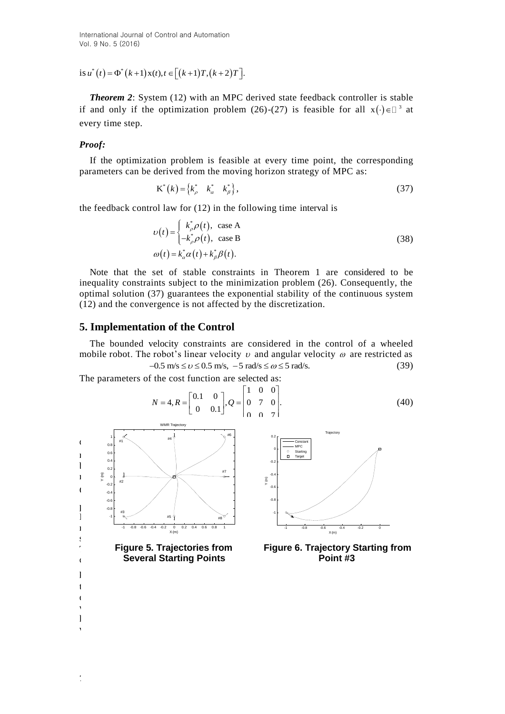is  $u^*(t) = \Phi^*(k+1) x(t), t \in [(k+1)T, (k+2)T].$ 

*Theorem 2*: System (12) with an MPC derived state feedback controller is stable if and only if the optimization problem (26)-(27) is feasible for all  $x(\cdot) \in \mathbb{D}^3$  at every time step.

#### *Proof:*

If the optimization problem is feasible at every time point, the corresponding parameters can be derived from the moving horizon strategy of MPC as:

$$
\mathbf{K}^*(k) = \begin{cases} k_{\rho}^* & k_{\alpha}^* & k_{\beta}^* \end{cases},\tag{37}
$$

the feedback control law for (12) in the following time interval is

$$
\upsilon(t) = \begin{cases} k_{\rho}^{*} \rho(t), & \text{case A} \\ -k_{\rho}^{*} \rho(t), & \text{case B} \end{cases}
$$
\n
$$
\omega(t) = k_{\alpha}^{*} \alpha(t) + k_{\beta}^{*} \beta(t).
$$
\n(38)

Note that the set of stable constraints in Theorem 1 are considered to be inequality constraints subject to the minimization problem (26). Consequently, the optimal solution (37) guarantees the exponential stability of the continuous system (12) and the convergence is not affected by the discretization.

## **5. Implementation of the Control**

 $\mathbf{v}$ 

The bounded velocity constraints are considered in the control of a wheeled mobile robot. The robot's linear velocity  $v$  and angular velocity  $\omega$  are restricted as  $-0.5$  m/s  $\le v \le 0.5$  m/s,  $-5$  rad/s  $\le \omega \le 5$  rad/s. (39)

The parameters of the cost function are selected as:  
\n
$$
N = 4, R = \begin{bmatrix} 0.1 & 0 \\ 0 & 0.1 \end{bmatrix}, Q = \begin{bmatrix} 1 & 0 & 0 \\ 0 & 7 & 0 \\ 0 & 0 & 7 \end{bmatrix}.
$$
\n(40)



74 Copyright ⓒ2016 SERSC

kinds of error models (cases A and B) were developed in the proposed algorithm  $\mathcal{A}$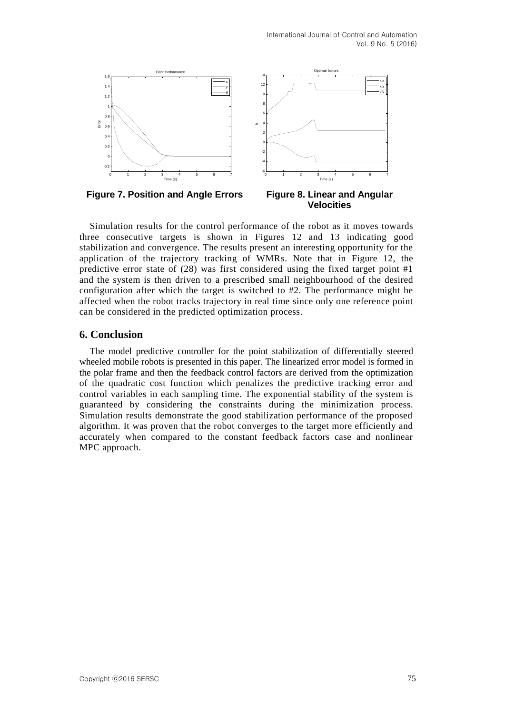

 **Figure 7. Position and Angle Errors Figure 8. Linear and Angular** 

 **Velocities**

Simulation results for the control performance of the robot as it moves towards three consecutive targets is shown in Figures 12 and 13 indicating good stabilization and convergence. The results present an interesting opportunity for the application of the trajectory tracking of WMRs. Note that in Figure 12, the predictive error state of  $(28)$  was first considered using the fixed target point #1 and the system is then driven to a prescribed small neighbourhood of the desired configuration after which the target is switched to #2. The performance might be affected when the robot tracks trajectory in real time since only one reference point can be considered in the predicted optimization process.

# **6. Conclusion**

The model predictive controller for the point stabilization of differentially steered wheeled mobile robots is presented in this paper. The linearized error model is formed in the polar frame and then the feedback control factors are derived from the optimization of the quadratic cost function which penalizes the predictive tracking error and control variables in each sampling time. The exponential stability of the system is guaranteed by considering the constraints during the minimization process. Simulation results demonstrate the good stabilization performance of the proposed algorithm. It was proven that the robot converges to the target more efficiently and accurately when compared to the constant feedback factors case and nonlinear MPC approach.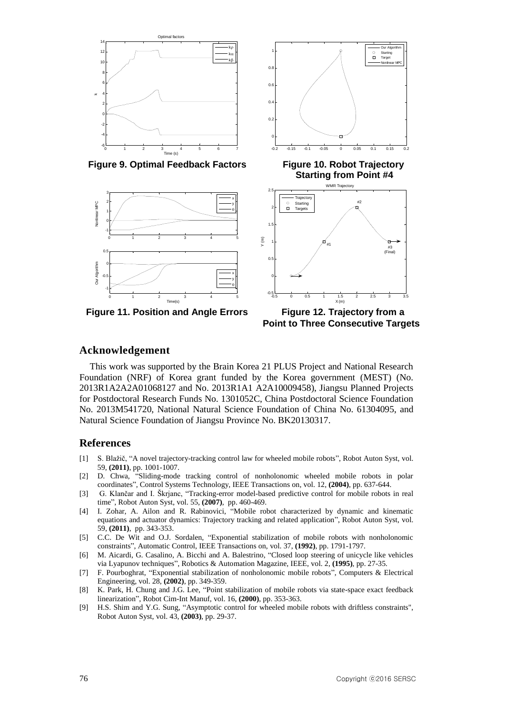

Figure 9. Optimal Feedback Factors Figure 10. Robot Trajectory



Figure 11. Position and Angle Errors Figure 12. Trajectory from a



 **Point to Three Consecutive Targets**

### **Acknowledgement**

This work was supported by the Brain Korea 21 PLUS Project and National Research Foundation (NRF) of Korea grant funded by the Korea government (MEST) (No. 2013R1A2A2A01068127 and No. 2013R1A1 A2A10009458), Jiangsu Planned Projects for Postdoctoral Research Funds No. 1301052C, China Postdoctoral Science Foundation No. 2013M541720, National Natural Science Foundation of China No. 61304095, and Natural Science Foundation of Jiangsu Province No. BK20130317.

### **References**

- [1] S. Blažič, "A novel trajectory-tracking control law for wheeled mobile robots", Robot Auton Syst, vol. 59, **(2011)**, pp. 1001-1007.
- [2] D. Chwa, "Sliding-mode tracking control of nonholonomic wheeled mobile robots in polar coordinates", Control Systems Technology, IEEE Transactions on, vol. 12, **(2004)**, pp. 637-644.
- [3] G. Klančar and I. Škrjanc, "Tracking-error model-based predictive control for mobile robots in real time", Robot Auton Syst, vol. 55, **(2007)**, pp. 460-469.
- [4] I. Zohar, A. Ailon and R. Rabinovici, "Mobile robot characterized by dynamic and kinematic equations and actuator dynamics: Trajectory tracking and related application", Robot Auton Syst, vol. 59, **(2011)**, pp. 343-353.
- [5] C.C. De Wit and O.J. Sordalen, "Exponential stabilization of mobile robots with nonholonomic constraints", Automatic Control, IEEE Transactions on, vol. 37, **(1992)**, pp. 1791-1797.
- [6] M. Aicardi, G. Casalino, A. Bicchi and A. Balestrino, "Closed loop steering of unicycle like vehicles via Lyapunov techniques", Robotics & Automation Magazine, IEEE, vol. 2, **(1995)**, pp. 27-35.
- [7] F. Pourboghrat, "Exponential stabilization of nonholonomic mobile robots", Computers & Electrical Engineering, vol. 28, **(2002)**, pp. 349-359.
- [8] K. Park, H. Chung and J.G. Lee, "Point stabilization of mobile robots via state-space exact feedback linearization", Robot Cim-Int Manuf, vol. 16, **(2000)**, pp. 353-363.
- [9] H.S. Shim and Y.G. Sung, "Asymptotic control for wheeled mobile robots with driftless constraints", Robot Auton Syst, vol. 43, **(2003)**, pp. 29-37.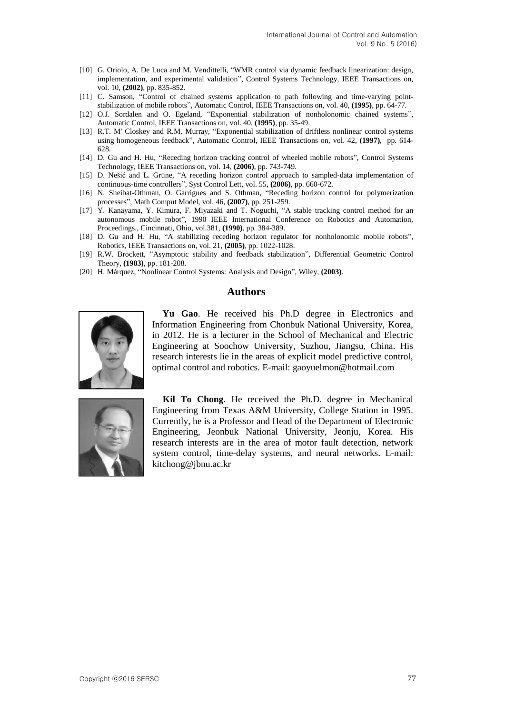- [10] G. Oriolo, A. De Luca and M. Vendittelli, "WMR control via dynamic feedback linearization: design, implementation, and experimental validation", Control Systems Technology, IEEE Transactions on, vol. 10, **(2002)**, pp. 835-852.
- [11] C. Samson, "Control of chained systems application to path following and time-varying pointstabilization of mobile robots", Automatic Control, IEEE Transactions on, vol. 40, **(1995)**, pp. 64-77.
- [12] O.J. Sordalen and O. Egeland, "Exponential stabilization of nonholonomic chained systems", Automatic Control, IEEE Transactions on, vol. 40, **(1995)**, pp. 35-49.
- [13] R.T. M' Closkey and R.M. Murray, "Exponential stabilization of driftless nonlinear control systems using homogeneous feedback", Automatic Control, IEEE Transactions on, vol. 42, **(1997)**, pp. 614- 628.
- [14] D. Gu and H. Hu, "Receding horizon tracking control of wheeled mobile robots", Control Systems Technology, IEEE Transactions on, vol. 14, **(2006)**, pp. 743-749.
- [15] D. Nešić and L. Grüne, "A receding horizon control approach to sampled-data implementation of continuous-time controllers", Syst Control Lett, vol. 55, **(2006)**, pp. 660-672.
- [16] N. Sheibat-Othman, O. Garrigues and S. Othman, "Receding horizon control for polymerization processes", Math Comput Model, vol. 46, **(2007)**, pp. 251-259.
- [17] Y. Kanayama, Y. Kimura, F. Miyazaki and T. Noguchi, "A stable tracking control method for an autonomous mobile robot", 1990 IEEE International Conference on Robotics and Automation, Proceedings., Cincinnati, Ohio, vol.381, **(1990)**, pp. 384-389.
- [18] D. Gu and H. Hu, "A stabilizing receding horizon regulator for nonholonomic mobile robots", Robotics, IEEE Transactions on, vol. 21, **(2005)**, pp. 1022-1028.
- [19] R.W. Brockett, "Asymptotic stability and feedback stabilization", Differential Geometric Control Theory, **(1983)**, pp. 181-208.
- [20] H. Márquez, "Nonlinear Control Systems: Analysis and Design", Wiley, **(2003)**.

# **Authors**



**Yu Gao**. He received his Ph.D degree in Electronics and Information Engineering from Chonbuk National University, Korea, in 2012. He is a lecturer in the School of Mechanical and Electric Engineering at Soochow University, Suzhou, Jiangsu, China. His research interests lie in the areas of explicit model predictive control, optimal control and robotics. E-mail: gaoyuelmon@hotmail.com



**Kil To Chong**. He received the Ph.D. degree in Mechanical Engineering from Texas A&M University, College Station in 1995. Currently, he is a Professor and Head of the Department of Electronic Engineering, Jeonbuk National University, Jeonju, Korea. His research interests are in the area of motor fault detection, network system control, time-delay systems, and neural networks. E-mail: kitchong@jbnu.ac.kr